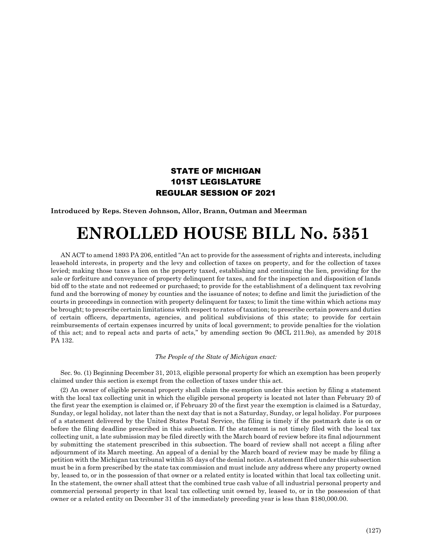## STATE OF MICHIGAN 101ST LEGISLATURE REGULAR SESSION OF 2021

**Introduced by Reps. Steven Johnson, Allor, Brann, Outman and Meerman**

## **ENROLLED HOUSE BILL No. 5351**

AN ACT to amend 1893 PA 206, entitled "An act to provide for the assessment of rights and interests, including leasehold interests, in property and the levy and collection of taxes on property, and for the collection of taxes levied; making those taxes a lien on the property taxed, establishing and continuing the lien, providing for the sale or forfeiture and conveyance of property delinquent for taxes, and for the inspection and disposition of lands bid off to the state and not redeemed or purchased; to provide for the establishment of a delinquent tax revolving fund and the borrowing of money by counties and the issuance of notes; to define and limit the jurisdiction of the courts in proceedings in connection with property delinquent for taxes; to limit the time within which actions may be brought; to prescribe certain limitations with respect to rates of taxation; to prescribe certain powers and duties of certain officers, departments, agencies, and political subdivisions of this state; to provide for certain reimbursements of certain expenses incurred by units of local government; to provide penalties for the violation of this act; and to repeal acts and parts of acts," by amending section 9o (MCL 211.9o), as amended by 2018 PA 132.

## *The People of the State of Michigan enact:*

Sec. 9o. (1) Beginning December 31, 2013, eligible personal property for which an exemption has been properly claimed under this section is exempt from the collection of taxes under this act.

(2) An owner of eligible personal property shall claim the exemption under this section by filing a statement with the local tax collecting unit in which the eligible personal property is located not later than February 20 of the first year the exemption is claimed or, if February 20 of the first year the exemption is claimed is a Saturday, Sunday, or legal holiday, not later than the next day that is not a Saturday, Sunday, or legal holiday. For purposes of a statement delivered by the United States Postal Service, the filing is timely if the postmark date is on or before the filing deadline prescribed in this subsection. If the statement is not timely filed with the local tax collecting unit, a late submission may be filed directly with the March board of review before its final adjournment by submitting the statement prescribed in this subsection. The board of review shall not accept a filing after adjournment of its March meeting. An appeal of a denial by the March board of review may be made by filing a petition with the Michigan tax tribunal within 35 days of the denial notice. A statement filed under this subsection must be in a form prescribed by the state tax commission and must include any address where any property owned by, leased to, or in the possession of that owner or a related entity is located within that local tax collecting unit. In the statement, the owner shall attest that the combined true cash value of all industrial personal property and commercial personal property in that local tax collecting unit owned by, leased to, or in the possession of that owner or a related entity on December 31 of the immediately preceding year is less than \$180,000.00.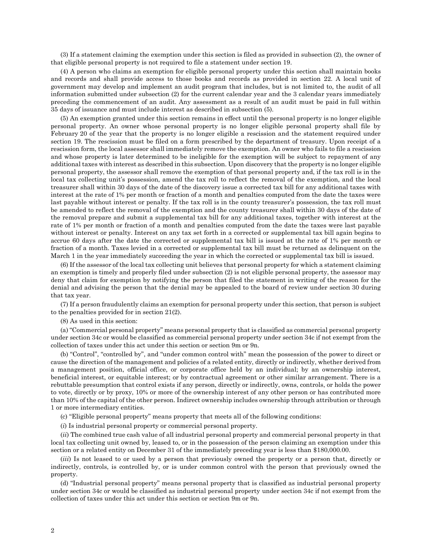(3) If a statement claiming the exemption under this section is filed as provided in subsection (2), the owner of that eligible personal property is not required to file a statement under section 19.

(4) A person who claims an exemption for eligible personal property under this section shall maintain books and records and shall provide access to those books and records as provided in section 22. A local unit of government may develop and implement an audit program that includes, but is not limited to, the audit of all information submitted under subsection (2) for the current calendar year and the 3 calendar years immediately preceding the commencement of an audit. Any assessment as a result of an audit must be paid in full within 35 days of issuance and must include interest as described in subsection (5).

(5) An exemption granted under this section remains in effect until the personal property is no longer eligible personal property. An owner whose personal property is no longer eligible personal property shall file by February 20 of the year that the property is no longer eligible a rescission and the statement required under section 19. The rescission must be filed on a form prescribed by the department of treasury. Upon receipt of a rescission form, the local assessor shall immediately remove the exemption. An owner who fails to file a rescission and whose property is later determined to be ineligible for the exemption will be subject to repayment of any additional taxes with interest as described in this subsection. Upon discovery that the property is no longer eligible personal property, the assessor shall remove the exemption of that personal property and, if the tax roll is in the local tax collecting unit's possession, amend the tax roll to reflect the removal of the exemption, and the local treasurer shall within 30 days of the date of the discovery issue a corrected tax bill for any additional taxes with interest at the rate of 1% per month or fraction of a month and penalties computed from the date the taxes were last payable without interest or penalty. If the tax roll is in the county treasurer's possession, the tax roll must be amended to reflect the removal of the exemption and the county treasurer shall within 30 days of the date of the removal prepare and submit a supplemental tax bill for any additional taxes, together with interest at the rate of 1% per month or fraction of a month and penalties computed from the date the taxes were last payable without interest or penalty. Interest on any tax set forth in a corrected or supplemental tax bill again begins to accrue 60 days after the date the corrected or supplemental tax bill is issued at the rate of 1% per month or fraction of a month. Taxes levied in a corrected or supplemental tax bill must be returned as delinquent on the March 1 in the year immediately succeeding the year in which the corrected or supplemental tax bill is issued.

(6) If the assessor of the local tax collecting unit believes that personal property for which a statement claiming an exemption is timely and properly filed under subsection (2) is not eligible personal property, the assessor may deny that claim for exemption by notifying the person that filed the statement in writing of the reason for the denial and advising the person that the denial may be appealed to the board of review under section 30 during that tax year.

(7) If a person fraudulently claims an exemption for personal property under this section, that person is subject to the penalties provided for in section 21(2).

(8) As used in this section:

(a) "Commercial personal property" means personal property that is classified as commercial personal property under section 34c or would be classified as commercial personal property under section 34c if not exempt from the collection of taxes under this act under this section or section 9m or 9n.

(b) "Control", "controlled by", and "under common control with" mean the possession of the power to direct or cause the direction of the management and policies of a related entity, directly or indirectly, whether derived from a management position, official office, or corporate office held by an individual; by an ownership interest, beneficial interest, or equitable interest; or by contractual agreement or other similar arrangement. There is a rebuttable presumption that control exists if any person, directly or indirectly, owns, controls, or holds the power to vote, directly or by proxy, 10% or more of the ownership interest of any other person or has contributed more than 10% of the capital of the other person. Indirect ownership includes ownership through attribution or through 1 or more intermediary entities.

(c) "Eligible personal property" means property that meets all of the following conditions:

(*i*) Is industrial personal property or commercial personal property.

(*ii*) The combined true cash value of all industrial personal property and commercial personal property in that local tax collecting unit owned by, leased to, or in the possession of the person claiming an exemption under this section or a related entity on December 31 of the immediately preceding year is less than \$180,000.00.

(*iii*) Is not leased to or used by a person that previously owned the property or a person that, directly or indirectly, controls, is controlled by, or is under common control with the person that previously owned the property.

(d) "Industrial personal property" means personal property that is classified as industrial personal property under section 34c or would be classified as industrial personal property under section 34c if not exempt from the collection of taxes under this act under this section or section 9m or 9n.